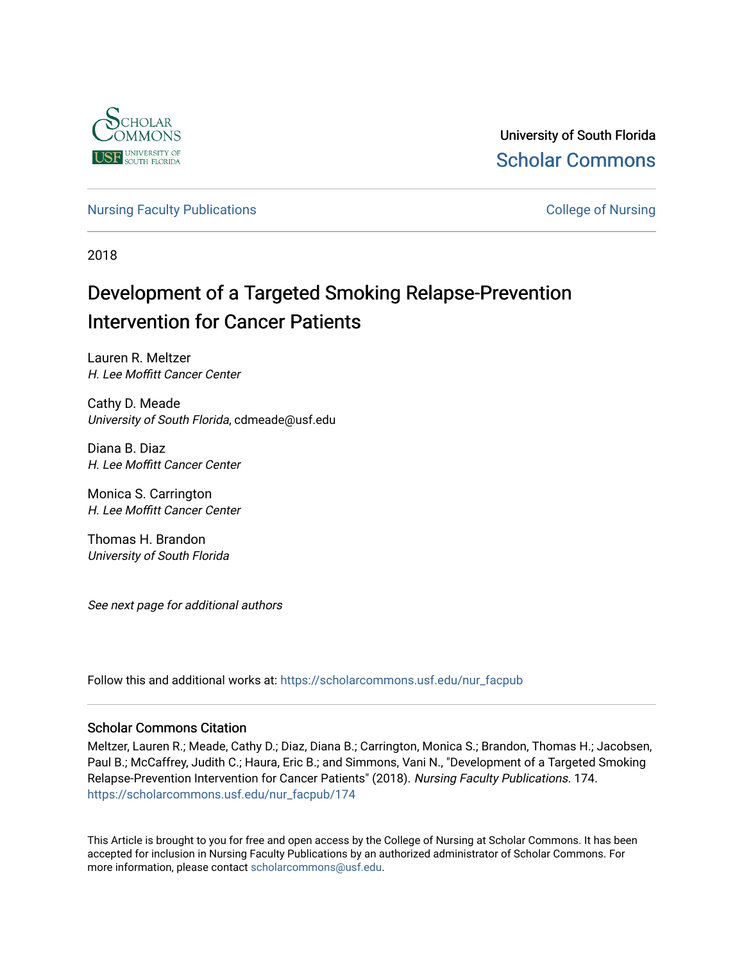

University of South Florida [Scholar Commons](https://scholarcommons.usf.edu/) 

[Nursing Faculty Publications](https://scholarcommons.usf.edu/nur_facpub) **College of Nursing** 

2018

# Development of a Targeted Smoking Relapse-Prevention Intervention for Cancer Patients

Lauren R. Meltzer H. Lee Moffitt Cancer Center

Cathy D. Meade University of South Florida, cdmeade@usf.edu

Diana B. Diaz H. Lee Moffitt Cancer Center

Monica S. Carrington H. Lee Moffitt Cancer Center

Thomas H. Brandon University of South Florida

See next page for additional authors

Follow this and additional works at: [https://scholarcommons.usf.edu/nur\\_facpub](https://scholarcommons.usf.edu/nur_facpub?utm_source=scholarcommons.usf.edu%2Fnur_facpub%2F174&utm_medium=PDF&utm_campaign=PDFCoverPages) 

# Scholar Commons Citation

Meltzer, Lauren R.; Meade, Cathy D.; Diaz, Diana B.; Carrington, Monica S.; Brandon, Thomas H.; Jacobsen, Paul B.; McCaffrey, Judith C.; Haura, Eric B.; and Simmons, Vani N., "Development of a Targeted Smoking Relapse-Prevention Intervention for Cancer Patients" (2018). Nursing Faculty Publications. 174. [https://scholarcommons.usf.edu/nur\\_facpub/174](https://scholarcommons.usf.edu/nur_facpub/174?utm_source=scholarcommons.usf.edu%2Fnur_facpub%2F174&utm_medium=PDF&utm_campaign=PDFCoverPages) 

This Article is brought to you for free and open access by the College of Nursing at Scholar Commons. It has been accepted for inclusion in Nursing Faculty Publications by an authorized administrator of Scholar Commons. For more information, please contact [scholarcommons@usf.edu](mailto:scholarcommons@usf.edu).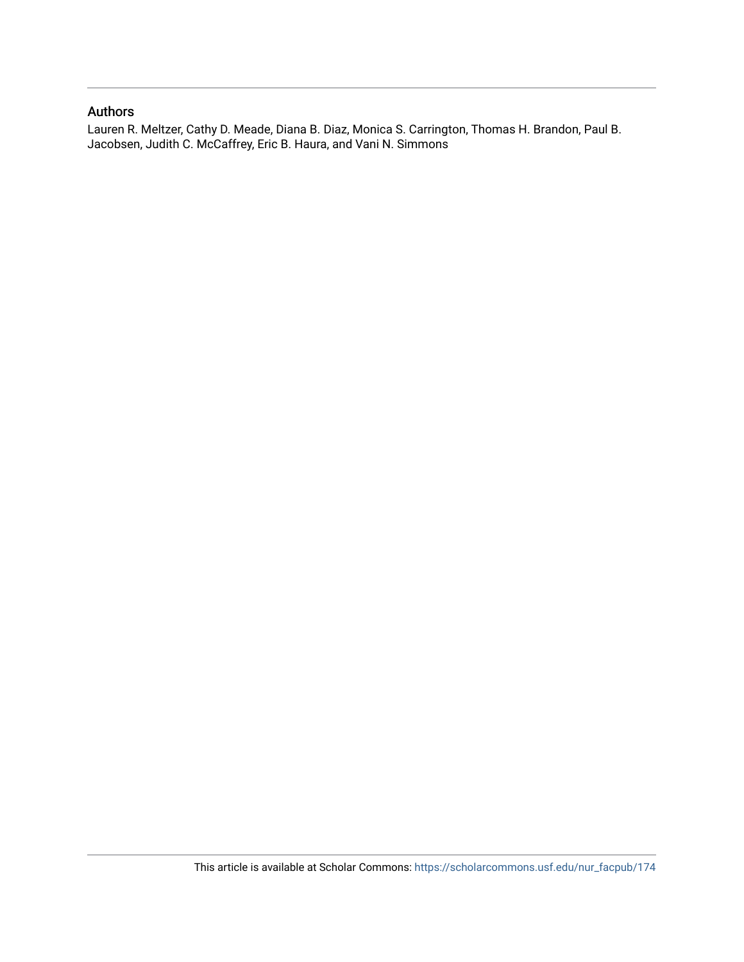# Authors

Lauren R. Meltzer, Cathy D. Meade, Diana B. Diaz, Monica S. Carrington, Thomas H. Brandon, Paul B. Jacobsen, Judith C. McCaffrey, Eric B. Haura, and Vani N. Simmons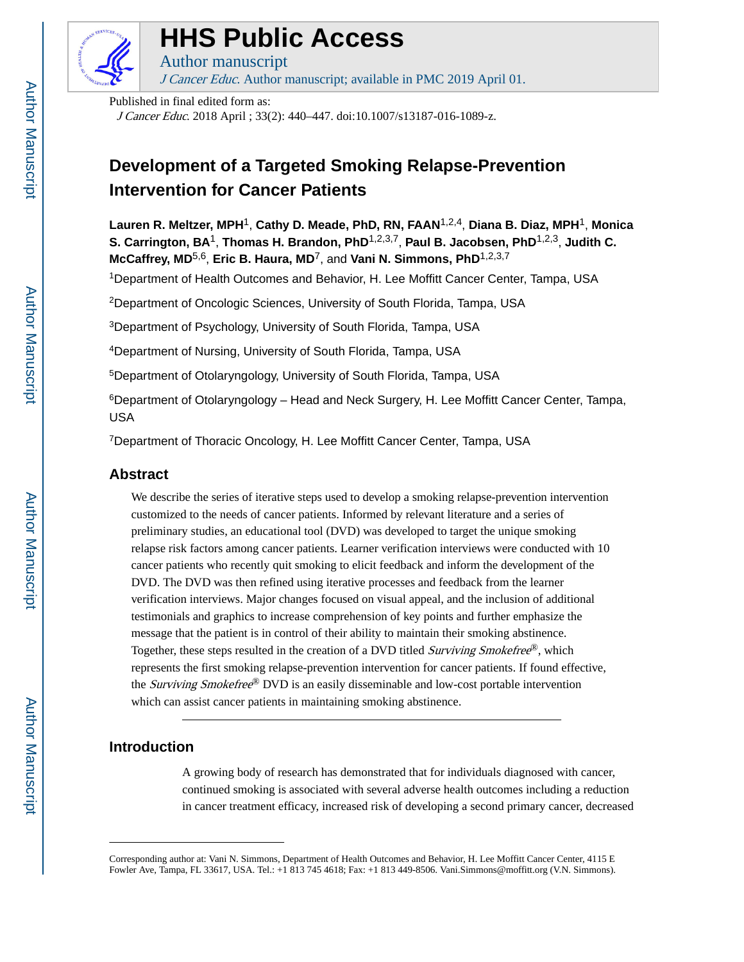

# **HHS Public Access**

Author manuscript J Cancer Educ. Author manuscript; available in PMC 2019 April 01.

Published in final edited form as:

J Cancer Educ. 2018 April ; 33(2): 440–447. doi:10.1007/s13187-016-1089-z.

# **Development of a Targeted Smoking Relapse-Prevention Intervention for Cancer Patients**

**Lauren R. Meltzer, MPH**1, **Cathy D. Meade, PhD, RN, FAAN**1,2,4, **Diana B. Diaz, MPH**1, **Monica S. Carrington, BA**1, **Thomas H. Brandon, PhD**1,2,3,7, **Paul B. Jacobsen, PhD**1,2,3, **Judith C. McCaffrey, MD**5,6, **Eric B. Haura, MD**7, and **Vani N. Simmons, PhD**1,2,3,7

<sup>1</sup>Department of Health Outcomes and Behavior, H. Lee Moffitt Cancer Center, Tampa, USA

<sup>2</sup>Department of Oncologic Sciences, University of South Florida, Tampa, USA

<sup>3</sup>Department of Psychology, University of South Florida, Tampa, USA

<sup>4</sup>Department of Nursing, University of South Florida, Tampa, USA

<sup>5</sup>Department of Otolaryngology, University of South Florida, Tampa, USA

<sup>6</sup>Department of Otolaryngology – Head and Neck Surgery, H. Lee Moffitt Cancer Center, Tampa, USA

<sup>7</sup>Department of Thoracic Oncology, H. Lee Moffitt Cancer Center, Tampa, USA

# **Abstract**

We describe the series of iterative steps used to develop a smoking relapse-prevention intervention customized to the needs of cancer patients. Informed by relevant literature and a series of preliminary studies, an educational tool (DVD) was developed to target the unique smoking relapse risk factors among cancer patients. Learner verification interviews were conducted with 10 cancer patients who recently quit smoking to elicit feedback and inform the development of the DVD. The DVD was then refined using iterative processes and feedback from the learner verification interviews. Major changes focused on visual appeal, and the inclusion of additional testimonials and graphics to increase comprehension of key points and further emphasize the message that the patient is in control of their ability to maintain their smoking abstinence. Together, these steps resulted in the creation of a DVD titled *Surviving Smokefree*®, which represents the first smoking relapse-prevention intervention for cancer patients. If found effective, the *Surviving Smokefree*<sup>®</sup> DVD is an easily disseminable and low-cost portable intervention which can assist cancer patients in maintaining smoking abstinence.

# **Introduction**

A growing body of research has demonstrated that for individuals diagnosed with cancer, continued smoking is associated with several adverse health outcomes including a reduction in cancer treatment efficacy, increased risk of developing a second primary cancer, decreased

Corresponding author at: Vani N. Simmons, Department of Health Outcomes and Behavior, H. Lee Moffitt Cancer Center, 4115 E Fowler Ave, Tampa, FL 33617, USA. Tel.: +1 813 745 4618; Fax: +1 813 449-8506. Vani.Simmons@moffitt.org (V.N. Simmons).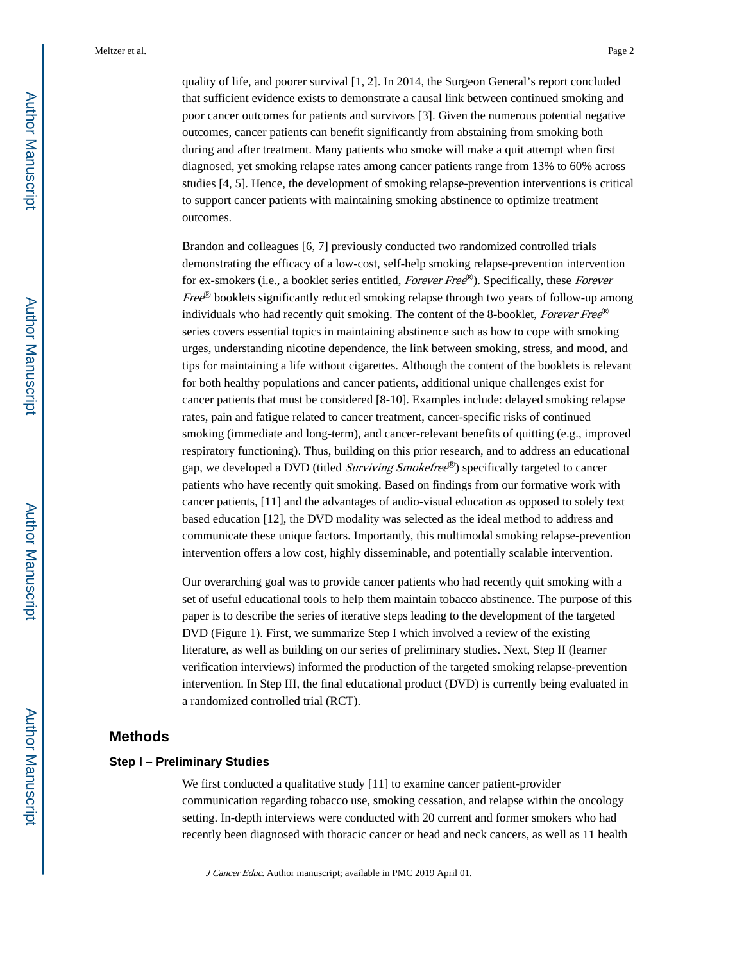Meltzer et al. Page 2

quality of life, and poorer survival [1, 2]. In 2014, the Surgeon General's report concluded that sufficient evidence exists to demonstrate a causal link between continued smoking and poor cancer outcomes for patients and survivors [3]. Given the numerous potential negative outcomes, cancer patients can benefit significantly from abstaining from smoking both during and after treatment. Many patients who smoke will make a quit attempt when first diagnosed, yet smoking relapse rates among cancer patients range from 13% to 60% across studies [4, 5]. Hence, the development of smoking relapse-prevention interventions is critical to support cancer patients with maintaining smoking abstinence to optimize treatment outcomes.

Brandon and colleagues [6, 7] previously conducted two randomized controlled trials demonstrating the efficacy of a low-cost, self-help smoking relapse-prevention intervention for ex-smokers (i.e., a booklet series entitled, *Forever Free*®). Specifically, these *Forever* Free<sup>®</sup> booklets significantly reduced smoking relapse through two years of follow-up among individuals who had recently quit smoking. The content of the 8-booklet, Forever Free® series covers essential topics in maintaining abstinence such as how to cope with smoking urges, understanding nicotine dependence, the link between smoking, stress, and mood, and tips for maintaining a life without cigarettes. Although the content of the booklets is relevant for both healthy populations and cancer patients, additional unique challenges exist for cancer patients that must be considered [8-10]. Examples include: delayed smoking relapse rates, pain and fatigue related to cancer treatment, cancer-specific risks of continued smoking (immediate and long-term), and cancer-relevant benefits of quitting (e.g., improved respiratory functioning). Thus, building on this prior research, and to address an educational gap, we developed a DVD (titled *Surviving Smokefree®*) specifically targeted to cancer patients who have recently quit smoking. Based on findings from our formative work with cancer patients, [11] and the advantages of audio-visual education as opposed to solely text based education [12], the DVD modality was selected as the ideal method to address and communicate these unique factors. Importantly, this multimodal smoking relapse-prevention intervention offers a low cost, highly disseminable, and potentially scalable intervention.

Our overarching goal was to provide cancer patients who had recently quit smoking with a set of useful educational tools to help them maintain tobacco abstinence. The purpose of this paper is to describe the series of iterative steps leading to the development of the targeted DVD (Figure 1). First, we summarize Step I which involved a review of the existing literature, as well as building on our series of preliminary studies. Next, Step II (learner verification interviews) informed the production of the targeted smoking relapse-prevention intervention. In Step III, the final educational product (DVD) is currently being evaluated in a randomized controlled trial (RCT).

# **Methods**

#### **Step I – Preliminary Studies**

We first conducted a qualitative study [11] to examine cancer patient-provider communication regarding tobacco use, smoking cessation, and relapse within the oncology setting. In-depth interviews were conducted with 20 current and former smokers who had recently been diagnosed with thoracic cancer or head and neck cancers, as well as 11 health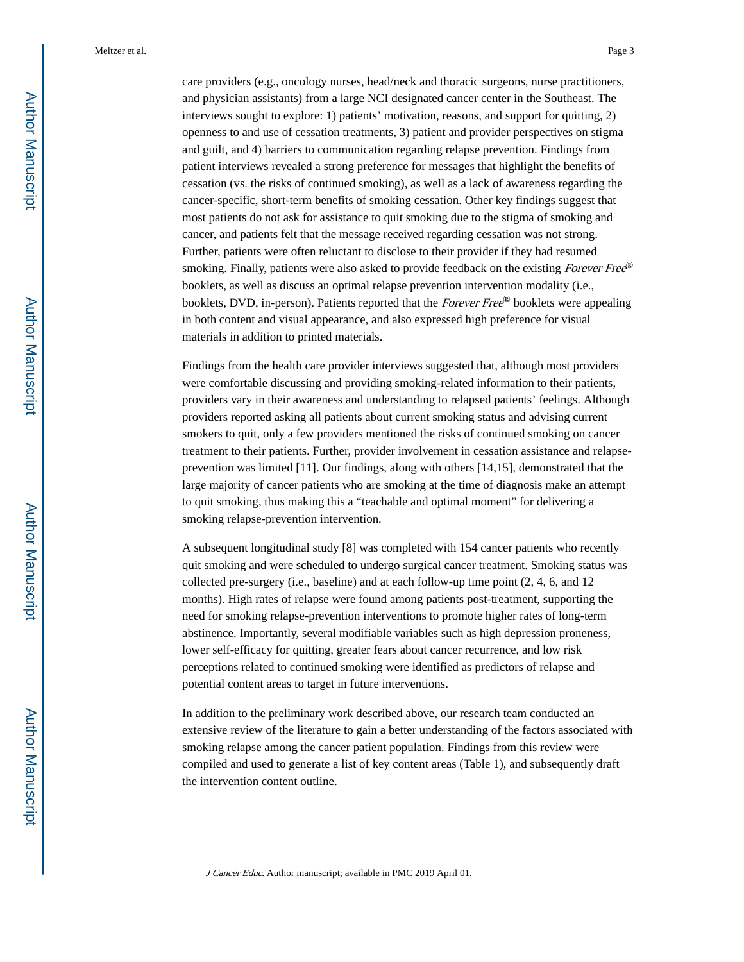Meltzer et al. Page 3

care providers (e.g., oncology nurses, head/neck and thoracic surgeons, nurse practitioners, and physician assistants) from a large NCI designated cancer center in the Southeast. The interviews sought to explore: 1) patients' motivation, reasons, and support for quitting, 2) openness to and use of cessation treatments, 3) patient and provider perspectives on stigma and guilt, and 4) barriers to communication regarding relapse prevention. Findings from patient interviews revealed a strong preference for messages that highlight the benefits of cessation (vs. the risks of continued smoking), as well as a lack of awareness regarding the cancer-specific, short-term benefits of smoking cessation. Other key findings suggest that most patients do not ask for assistance to quit smoking due to the stigma of smoking and cancer, and patients felt that the message received regarding cessation was not strong. Further, patients were often reluctant to disclose to their provider if they had resumed smoking. Finally, patients were also asked to provide feedback on the existing Forever Free® booklets, as well as discuss an optimal relapse prevention intervention modality (i.e., booklets, DVD, in-person). Patients reported that the *Forever Free*® booklets were appealing in both content and visual appearance, and also expressed high preference for visual materials in addition to printed materials.

Findings from the health care provider interviews suggested that, although most providers were comfortable discussing and providing smoking-related information to their patients, providers vary in their awareness and understanding to relapsed patients' feelings. Although providers reported asking all patients about current smoking status and advising current smokers to quit, only a few providers mentioned the risks of continued smoking on cancer treatment to their patients. Further, provider involvement in cessation assistance and relapseprevention was limited [11]. Our findings, along with others [14,15], demonstrated that the large majority of cancer patients who are smoking at the time of diagnosis make an attempt to quit smoking, thus making this a "teachable and optimal moment" for delivering a smoking relapse-prevention intervention.

A subsequent longitudinal study [8] was completed with 154 cancer patients who recently quit smoking and were scheduled to undergo surgical cancer treatment. Smoking status was collected pre-surgery (i.e., baseline) and at each follow-up time point (2, 4, 6, and 12 months). High rates of relapse were found among patients post-treatment, supporting the need for smoking relapse-prevention interventions to promote higher rates of long-term abstinence. Importantly, several modifiable variables such as high depression proneness, lower self-efficacy for quitting, greater fears about cancer recurrence, and low risk perceptions related to continued smoking were identified as predictors of relapse and potential content areas to target in future interventions.

In addition to the preliminary work described above, our research team conducted an extensive review of the literature to gain a better understanding of the factors associated with smoking relapse among the cancer patient population. Findings from this review were compiled and used to generate a list of key content areas (Table 1), and subsequently draft the intervention content outline.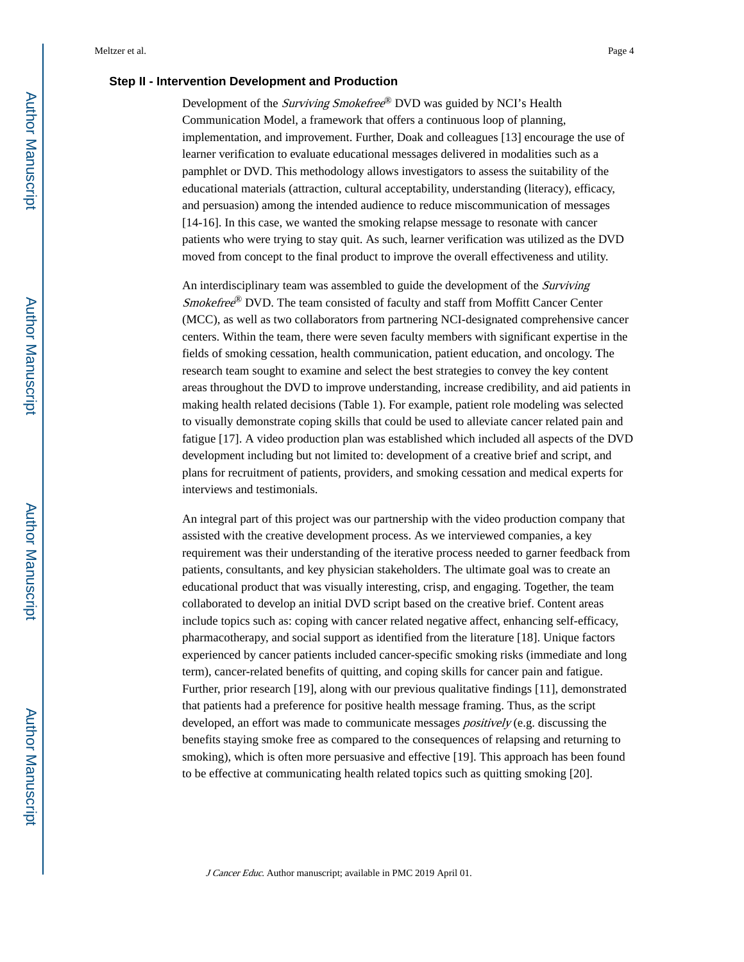## **Step II - Intervention Development and Production**

Development of the *Surviving Smokefree*® DVD was guided by NCI's Health Communication Model, a framework that offers a continuous loop of planning, implementation, and improvement. Further, Doak and colleagues [13] encourage the use of learner verification to evaluate educational messages delivered in modalities such as a pamphlet or DVD. This methodology allows investigators to assess the suitability of the educational materials (attraction, cultural acceptability, understanding (literacy), efficacy, and persuasion) among the intended audience to reduce miscommunication of messages [14-16]. In this case, we wanted the smoking relapse message to resonate with cancer patients who were trying to stay quit. As such, learner verification was utilized as the DVD moved from concept to the final product to improve the overall effectiveness and utility.

An interdisciplinary team was assembled to guide the development of the *Surviving* Smokefree® DVD. The team consisted of faculty and staff from Moffitt Cancer Center (MCC), as well as two collaborators from partnering NCI-designated comprehensive cancer centers. Within the team, there were seven faculty members with significant expertise in the fields of smoking cessation, health communication, patient education, and oncology. The research team sought to examine and select the best strategies to convey the key content areas throughout the DVD to improve understanding, increase credibility, and aid patients in making health related decisions (Table 1). For example, patient role modeling was selected to visually demonstrate coping skills that could be used to alleviate cancer related pain and fatigue [17]. A video production plan was established which included all aspects of the DVD development including but not limited to: development of a creative brief and script, and plans for recruitment of patients, providers, and smoking cessation and medical experts for interviews and testimonials.

An integral part of this project was our partnership with the video production company that assisted with the creative development process. As we interviewed companies, a key requirement was their understanding of the iterative process needed to garner feedback from patients, consultants, and key physician stakeholders. The ultimate goal was to create an educational product that was visually interesting, crisp, and engaging. Together, the team collaborated to develop an initial DVD script based on the creative brief. Content areas include topics such as: coping with cancer related negative affect, enhancing self-efficacy, pharmacotherapy, and social support as identified from the literature [18]. Unique factors experienced by cancer patients included cancer-specific smoking risks (immediate and long term), cancer-related benefits of quitting, and coping skills for cancer pain and fatigue. Further, prior research [19], along with our previous qualitative findings [11], demonstrated that patients had a preference for positive health message framing. Thus, as the script developed, an effort was made to communicate messages *positively* (e.g. discussing the benefits staying smoke free as compared to the consequences of relapsing and returning to smoking), which is often more persuasive and effective [19]. This approach has been found to be effective at communicating health related topics such as quitting smoking [20].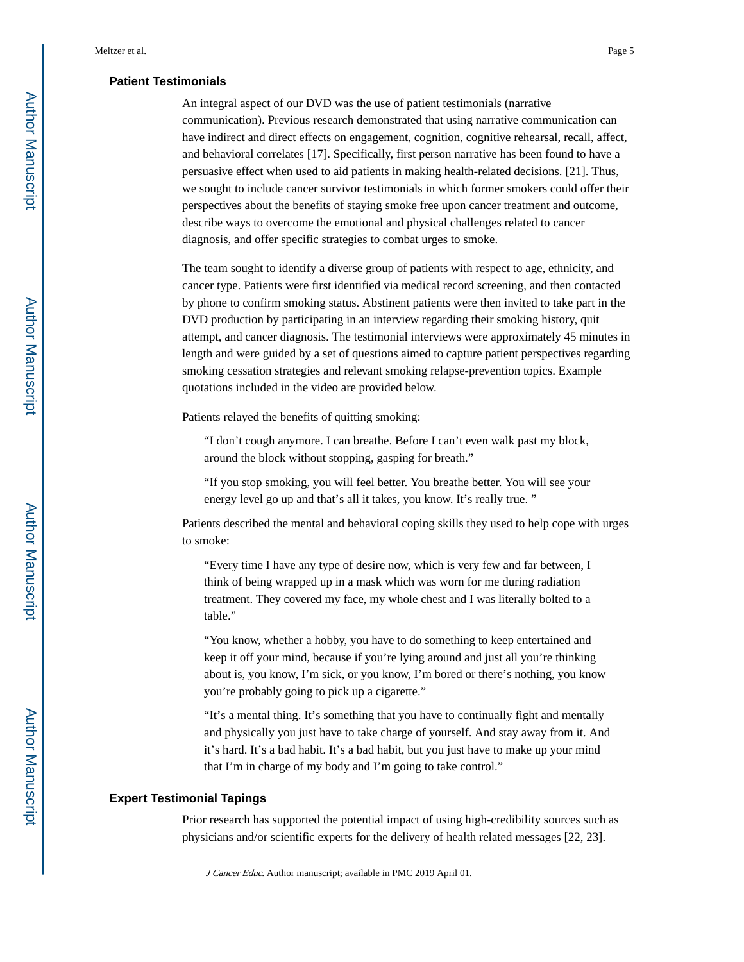#### **Patient Testimonials**

An integral aspect of our DVD was the use of patient testimonials (narrative communication). Previous research demonstrated that using narrative communication can have indirect and direct effects on engagement, cognition, cognitive rehearsal, recall, affect, and behavioral correlates [17]. Specifically, first person narrative has been found to have a persuasive effect when used to aid patients in making health-related decisions. [21]. Thus, we sought to include cancer survivor testimonials in which former smokers could offer their perspectives about the benefits of staying smoke free upon cancer treatment and outcome, describe ways to overcome the emotional and physical challenges related to cancer diagnosis, and offer specific strategies to combat urges to smoke.

The team sought to identify a diverse group of patients with respect to age, ethnicity, and cancer type. Patients were first identified via medical record screening, and then contacted by phone to confirm smoking status. Abstinent patients were then invited to take part in the DVD production by participating in an interview regarding their smoking history, quit attempt, and cancer diagnosis. The testimonial interviews were approximately 45 minutes in length and were guided by a set of questions aimed to capture patient perspectives regarding smoking cessation strategies and relevant smoking relapse-prevention topics. Example quotations included in the video are provided below.

Patients relayed the benefits of quitting smoking:

"I don't cough anymore. I can breathe. Before I can't even walk past my block, around the block without stopping, gasping for breath."

"If you stop smoking, you will feel better. You breathe better. You will see your energy level go up and that's all it takes, you know. It's really true. "

Patients described the mental and behavioral coping skills they used to help cope with urges to smoke:

"Every time I have any type of desire now, which is very few and far between, I think of being wrapped up in a mask which was worn for me during radiation treatment. They covered my face, my whole chest and I was literally bolted to a table."

"You know, whether a hobby, you have to do something to keep entertained and keep it off your mind, because if you're lying around and just all you're thinking about is, you know, I'm sick, or you know, I'm bored or there's nothing, you know you're probably going to pick up a cigarette."

"It's a mental thing. It's something that you have to continually fight and mentally and physically you just have to take charge of yourself. And stay away from it. And it's hard. It's a bad habit. It's a bad habit, but you just have to make up your mind that I'm in charge of my body and I'm going to take control."

#### **Expert Testimonial Tapings**

Prior research has supported the potential impact of using high-credibility sources such as physicians and/or scientific experts for the delivery of health related messages [22, 23].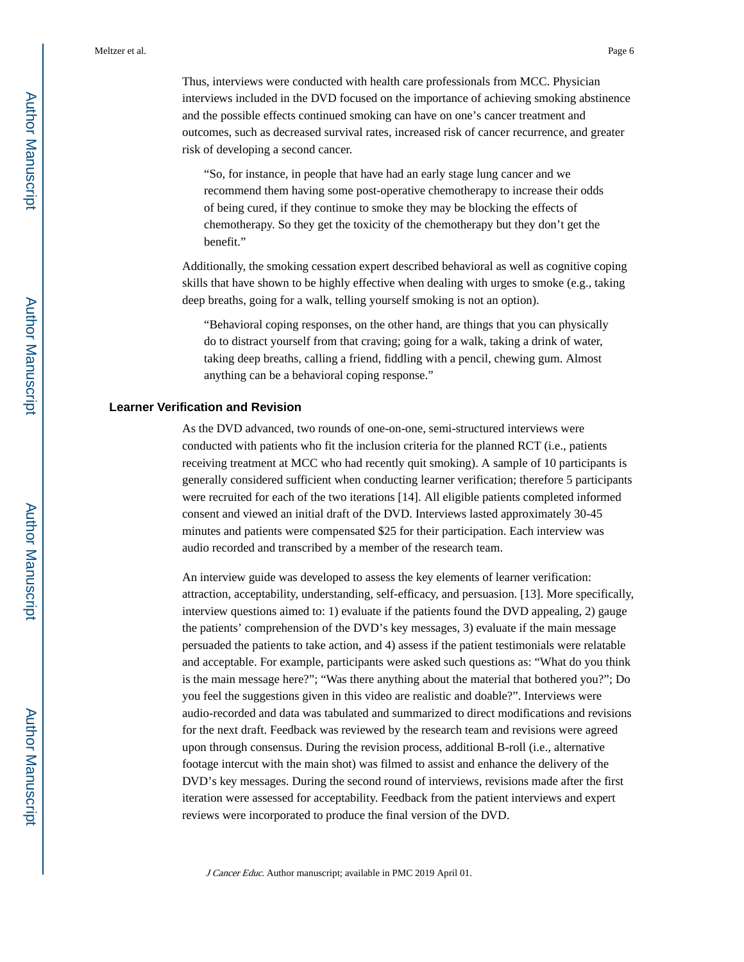Thus, interviews were conducted with health care professionals from MCC. Physician interviews included in the DVD focused on the importance of achieving smoking abstinence and the possible effects continued smoking can have on one's cancer treatment and outcomes, such as decreased survival rates, increased risk of cancer recurrence, and greater risk of developing a second cancer.

"So, for instance, in people that have had an early stage lung cancer and we recommend them having some post-operative chemotherapy to increase their odds of being cured, if they continue to smoke they may be blocking the effects of chemotherapy. So they get the toxicity of the chemotherapy but they don't get the benefit."

Additionally, the smoking cessation expert described behavioral as well as cognitive coping skills that have shown to be highly effective when dealing with urges to smoke (e.g., taking deep breaths, going for a walk, telling yourself smoking is not an option).

"Behavioral coping responses, on the other hand, are things that you can physically do to distract yourself from that craving; going for a walk, taking a drink of water, taking deep breaths, calling a friend, fiddling with a pencil, chewing gum. Almost anything can be a behavioral coping response."

#### **Learner Verification and Revision**

As the DVD advanced, two rounds of one-on-one, semi-structured interviews were conducted with patients who fit the inclusion criteria for the planned RCT (i.e., patients receiving treatment at MCC who had recently quit smoking). A sample of 10 participants is generally considered sufficient when conducting learner verification; therefore 5 participants were recruited for each of the two iterations [14]. All eligible patients completed informed consent and viewed an initial draft of the DVD. Interviews lasted approximately 30-45 minutes and patients were compensated \$25 for their participation. Each interview was audio recorded and transcribed by a member of the research team.

An interview guide was developed to assess the key elements of learner verification: attraction, acceptability, understanding, self-efficacy, and persuasion. [13]. More specifically, interview questions aimed to: 1) evaluate if the patients found the DVD appealing, 2) gauge the patients' comprehension of the DVD's key messages, 3) evaluate if the main message persuaded the patients to take action, and 4) assess if the patient testimonials were relatable and acceptable. For example, participants were asked such questions as: "What do you think is the main message here?"; "Was there anything about the material that bothered you?"; Do you feel the suggestions given in this video are realistic and doable?". Interviews were audio-recorded and data was tabulated and summarized to direct modifications and revisions for the next draft. Feedback was reviewed by the research team and revisions were agreed upon through consensus. During the revision process, additional B-roll (i.e., alternative footage intercut with the main shot) was filmed to assist and enhance the delivery of the DVD's key messages. During the second round of interviews, revisions made after the first iteration were assessed for acceptability. Feedback from the patient interviews and expert reviews were incorporated to produce the final version of the DVD.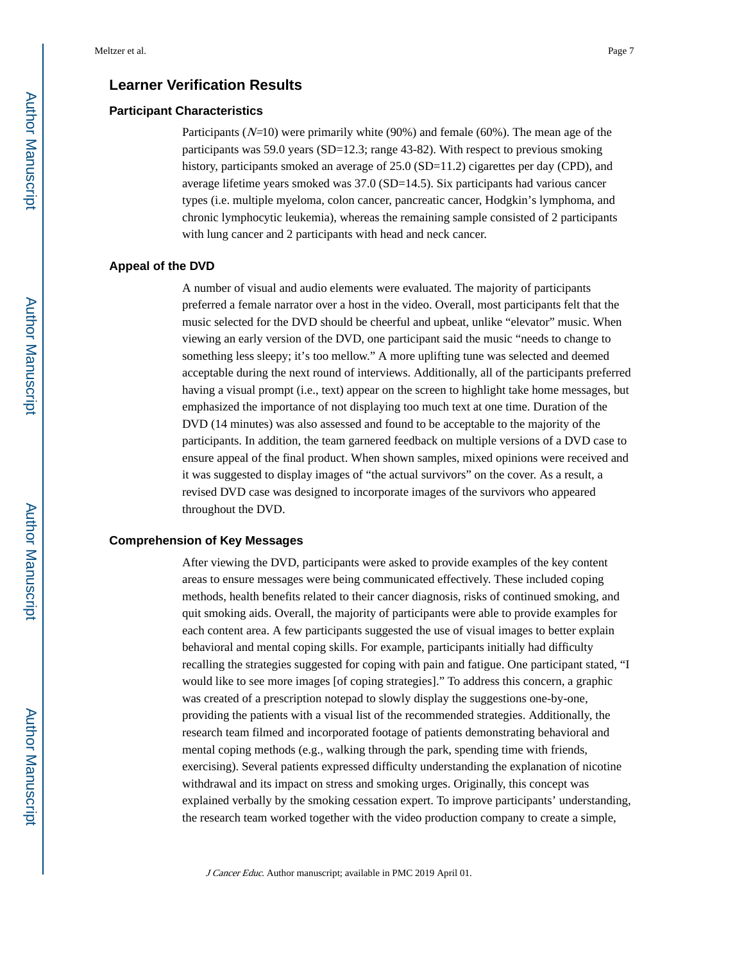# **Learner Verification Results**

#### **Participant Characteristics**

Participants  $(N=10)$  were primarily white (90%) and female (60%). The mean age of the participants was 59.0 years (SD=12.3; range 43-82). With respect to previous smoking history, participants smoked an average of 25.0 (SD=11.2) cigarettes per day (CPD), and average lifetime years smoked was 37.0 (SD=14.5). Six participants had various cancer types (i.e. multiple myeloma, colon cancer, pancreatic cancer, Hodgkin's lymphoma, and chronic lymphocytic leukemia), whereas the remaining sample consisted of 2 participants with lung cancer and 2 participants with head and neck cancer.

#### **Appeal of the DVD**

A number of visual and audio elements were evaluated. The majority of participants preferred a female narrator over a host in the video. Overall, most participants felt that the music selected for the DVD should be cheerful and upbeat, unlike "elevator" music. When viewing an early version of the DVD, one participant said the music "needs to change to something less sleepy; it's too mellow." A more uplifting tune was selected and deemed acceptable during the next round of interviews. Additionally, all of the participants preferred having a visual prompt (i.e., text) appear on the screen to highlight take home messages, but emphasized the importance of not displaying too much text at one time. Duration of the DVD (14 minutes) was also assessed and found to be acceptable to the majority of the participants. In addition, the team garnered feedback on multiple versions of a DVD case to ensure appeal of the final product. When shown samples, mixed opinions were received and it was suggested to display images of "the actual survivors" on the cover. As a result, a revised DVD case was designed to incorporate images of the survivors who appeared throughout the DVD.

#### **Comprehension of Key Messages**

After viewing the DVD, participants were asked to provide examples of the key content areas to ensure messages were being communicated effectively. These included coping methods, health benefits related to their cancer diagnosis, risks of continued smoking, and quit smoking aids. Overall, the majority of participants were able to provide examples for each content area. A few participants suggested the use of visual images to better explain behavioral and mental coping skills. For example, participants initially had difficulty recalling the strategies suggested for coping with pain and fatigue. One participant stated, "I would like to see more images [of coping strategies]." To address this concern, a graphic was created of a prescription notepad to slowly display the suggestions one-by-one, providing the patients with a visual list of the recommended strategies. Additionally, the research team filmed and incorporated footage of patients demonstrating behavioral and mental coping methods (e.g., walking through the park, spending time with friends, exercising). Several patients expressed difficulty understanding the explanation of nicotine withdrawal and its impact on stress and smoking urges. Originally, this concept was explained verbally by the smoking cessation expert. To improve participants' understanding, the research team worked together with the video production company to create a simple,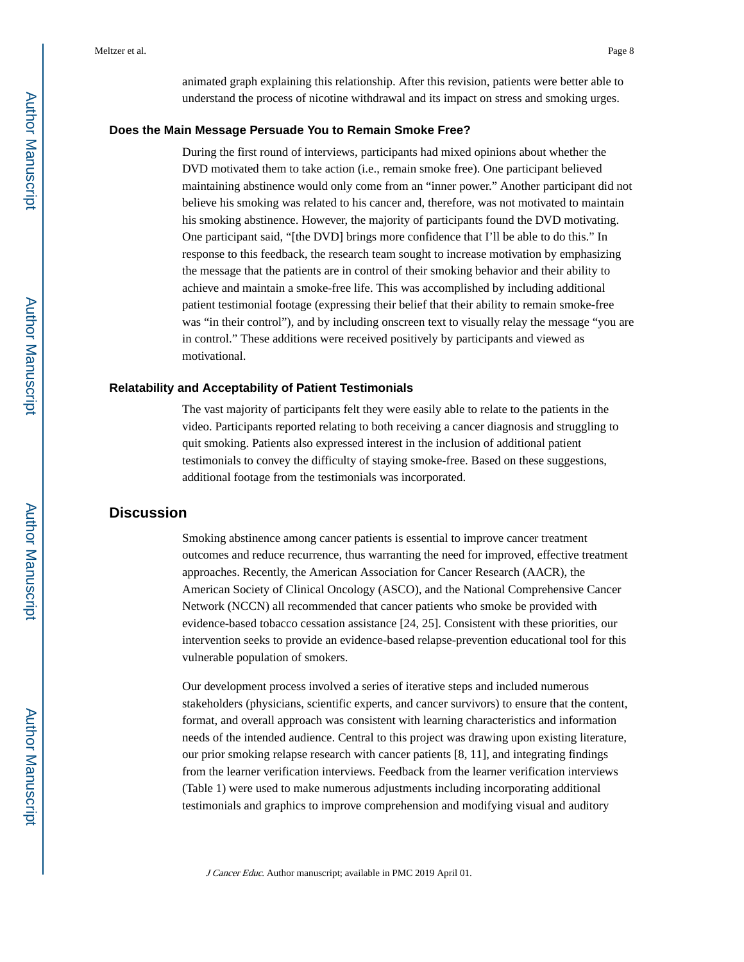animated graph explaining this relationship. After this revision, patients were better able to understand the process of nicotine withdrawal and its impact on stress and smoking urges.

#### **Does the Main Message Persuade You to Remain Smoke Free?**

During the first round of interviews, participants had mixed opinions about whether the DVD motivated them to take action (i.e., remain smoke free). One participant believed maintaining abstinence would only come from an "inner power." Another participant did not believe his smoking was related to his cancer and, therefore, was not motivated to maintain his smoking abstinence. However, the majority of participants found the DVD motivating. One participant said, "[the DVD] brings more confidence that I'll be able to do this." In response to this feedback, the research team sought to increase motivation by emphasizing the message that the patients are in control of their smoking behavior and their ability to achieve and maintain a smoke-free life. This was accomplished by including additional patient testimonial footage (expressing their belief that their ability to remain smoke-free was "in their control"), and by including onscreen text to visually relay the message "you are in control." These additions were received positively by participants and viewed as motivational.

#### **Relatability and Acceptability of Patient Testimonials**

The vast majority of participants felt they were easily able to relate to the patients in the video. Participants reported relating to both receiving a cancer diagnosis and struggling to quit smoking. Patients also expressed interest in the inclusion of additional patient testimonials to convey the difficulty of staying smoke-free. Based on these suggestions, additional footage from the testimonials was incorporated.

# **Discussion**

Smoking abstinence among cancer patients is essential to improve cancer treatment outcomes and reduce recurrence, thus warranting the need for improved, effective treatment approaches. Recently, the American Association for Cancer Research (AACR), the American Society of Clinical Oncology (ASCO), and the National Comprehensive Cancer Network (NCCN) all recommended that cancer patients who smoke be provided with evidence-based tobacco cessation assistance [24, 25]. Consistent with these priorities, our intervention seeks to provide an evidence-based relapse-prevention educational tool for this vulnerable population of smokers.

Our development process involved a series of iterative steps and included numerous stakeholders (physicians, scientific experts, and cancer survivors) to ensure that the content, format, and overall approach was consistent with learning characteristics and information needs of the intended audience. Central to this project was drawing upon existing literature, our prior smoking relapse research with cancer patients [8, 11], and integrating findings from the learner verification interviews. Feedback from the learner verification interviews (Table 1) were used to make numerous adjustments including incorporating additional testimonials and graphics to improve comprehension and modifying visual and auditory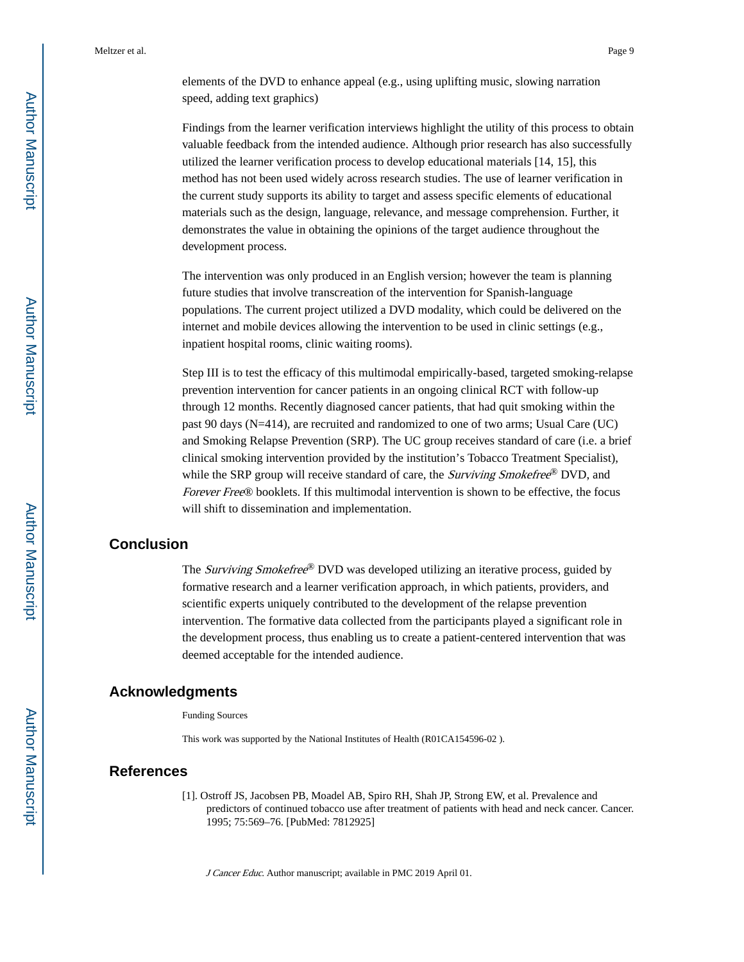Meltzer et al. Page 9

elements of the DVD to enhance appeal (e.g., using uplifting music, slowing narration speed, adding text graphics)

Findings from the learner verification interviews highlight the utility of this process to obtain valuable feedback from the intended audience. Although prior research has also successfully utilized the learner verification process to develop educational materials [14, 15], this method has not been used widely across research studies. The use of learner verification in the current study supports its ability to target and assess specific elements of educational materials such as the design, language, relevance, and message comprehension. Further, it demonstrates the value in obtaining the opinions of the target audience throughout the development process.

The intervention was only produced in an English version; however the team is planning future studies that involve transcreation of the intervention for Spanish-language populations. The current project utilized a DVD modality, which could be delivered on the internet and mobile devices allowing the intervention to be used in clinic settings (e.g., inpatient hospital rooms, clinic waiting rooms).

Step III is to test the efficacy of this multimodal empirically-based, targeted smoking-relapse prevention intervention for cancer patients in an ongoing clinical RCT with follow-up through 12 months. Recently diagnosed cancer patients, that had quit smoking within the past 90 days (N=414), are recruited and randomized to one of two arms; Usual Care (UC) and Smoking Relapse Prevention (SRP). The UC group receives standard of care (i.e. a brief clinical smoking intervention provided by the institution's Tobacco Treatment Specialist), while the SRP group will receive standard of care, the *Surviving Smokefree®* DVD, and Forever Free® booklets. If this multimodal intervention is shown to be effective, the focus will shift to dissemination and implementation.

# **Conclusion**

The Surviving Smokefree® DVD was developed utilizing an iterative process, guided by formative research and a learner verification approach, in which patients, providers, and scientific experts uniquely contributed to the development of the relapse prevention intervention. The formative data collected from the participants played a significant role in the development process, thus enabling us to create a patient-centered intervention that was deemed acceptable for the intended audience.

# **Acknowledgments**

#### Funding Sources

This work was supported by the National Institutes of Health (R01CA154596-02 ).

# **References**

[1]. Ostroff JS, Jacobsen PB, Moadel AB, Spiro RH, Shah JP, Strong EW, et al. Prevalence and predictors of continued tobacco use after treatment of patients with head and neck cancer. Cancer. 1995; 75:569–76. [PubMed: 7812925]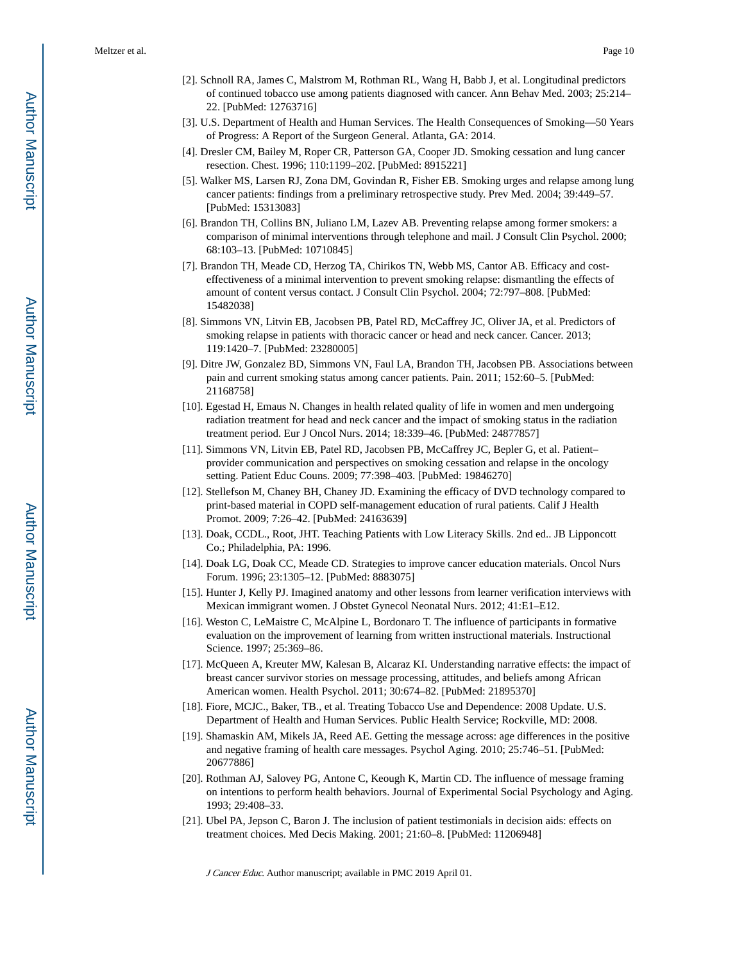- [2]. Schnoll RA, James C, Malstrom M, Rothman RL, Wang H, Babb J, et al. Longitudinal predictors of continued tobacco use among patients diagnosed with cancer. Ann Behav Med. 2003; 25:214– 22. [PubMed: 12763716]
- [3]. U.S. Department of Health and Human Services. The Health Consequences of Smoking—50 Years of Progress: A Report of the Surgeon General. Atlanta, GA: 2014.
- [4]. Dresler CM, Bailey M, Roper CR, Patterson GA, Cooper JD. Smoking cessation and lung cancer resection. Chest. 1996; 110:1199–202. [PubMed: 8915221]
- [5]. Walker MS, Larsen RJ, Zona DM, Govindan R, Fisher EB. Smoking urges and relapse among lung cancer patients: findings from a preliminary retrospective study. Prev Med. 2004; 39:449–57. [PubMed: 15313083]
- [6]. Brandon TH, Collins BN, Juliano LM, Lazev AB. Preventing relapse among former smokers: a comparison of minimal interventions through telephone and mail. J Consult Clin Psychol. 2000; 68:103–13. [PubMed: 10710845]
- [7]. Brandon TH, Meade CD, Herzog TA, Chirikos TN, Webb MS, Cantor AB. Efficacy and costeffectiveness of a minimal intervention to prevent smoking relapse: dismantling the effects of amount of content versus contact. J Consult Clin Psychol. 2004; 72:797–808. [PubMed: 15482038]
- [8]. Simmons VN, Litvin EB, Jacobsen PB, Patel RD, McCaffrey JC, Oliver JA, et al. Predictors of smoking relapse in patients with thoracic cancer or head and neck cancer. Cancer. 2013; 119:1420–7. [PubMed: 23280005]
- [9]. Ditre JW, Gonzalez BD, Simmons VN, Faul LA, Brandon TH, Jacobsen PB. Associations between pain and current smoking status among cancer patients. Pain. 2011; 152:60–5. [PubMed: 21168758]
- [10]. Egestad H, Emaus N. Changes in health related quality of life in women and men undergoing radiation treatment for head and neck cancer and the impact of smoking status in the radiation treatment period. Eur J Oncol Nurs. 2014; 18:339–46. [PubMed: 24877857]
- [11]. Simmons VN, Litvin EB, Patel RD, Jacobsen PB, McCaffrey JC, Bepler G, et al. Patient– provider communication and perspectives on smoking cessation and relapse in the oncology setting. Patient Educ Couns. 2009; 77:398–403. [PubMed: 19846270]
- [12]. Stellefson M, Chaney BH, Chaney JD. Examining the efficacy of DVD technology compared to print-based material in COPD self-management education of rural patients. Calif J Health Promot. 2009; 7:26–42. [PubMed: 24163639]
- [13]. Doak, CCDL., Root, JHT. Teaching Patients with Low Literacy Skills. 2nd ed.. JB Lipponcott Co.; Philadelphia, PA: 1996.
- [14]. Doak LG, Doak CC, Meade CD. Strategies to improve cancer education materials. Oncol Nurs Forum. 1996; 23:1305–12. [PubMed: 8883075]
- [15]. Hunter J, Kelly PJ. Imagined anatomy and other lessons from learner verification interviews with Mexican immigrant women. J Obstet Gynecol Neonatal Nurs. 2012; 41:E1–E12.
- [16]. Weston C, LeMaistre C, McAlpine L, Bordonaro T. The influence of participants in formative evaluation on the improvement of learning from written instructional materials. Instructional Science. 1997; 25:369–86.
- [17]. McQueen A, Kreuter MW, Kalesan B, Alcaraz KI. Understanding narrative effects: the impact of breast cancer survivor stories on message processing, attitudes, and beliefs among African American women. Health Psychol. 2011; 30:674–82. [PubMed: 21895370]
- [18]. Fiore, MCJC., Baker, TB., et al. Treating Tobacco Use and Dependence: 2008 Update. U.S. Department of Health and Human Services. Public Health Service; Rockville, MD: 2008.
- [19]. Shamaskin AM, Mikels JA, Reed AE. Getting the message across: age differences in the positive and negative framing of health care messages. Psychol Aging. 2010; 25:746–51. [PubMed: 20677886]
- [20]. Rothman AJ, Salovey PG, Antone C, Keough K, Martin CD. The influence of message framing on intentions to perform health behaviors. Journal of Experimental Social Psychology and Aging. 1993; 29:408–33.
- [21]. Ubel PA, Jepson C, Baron J. The inclusion of patient testimonials in decision aids: effects on treatment choices. Med Decis Making. 2001; 21:60–8. [PubMed: 11206948]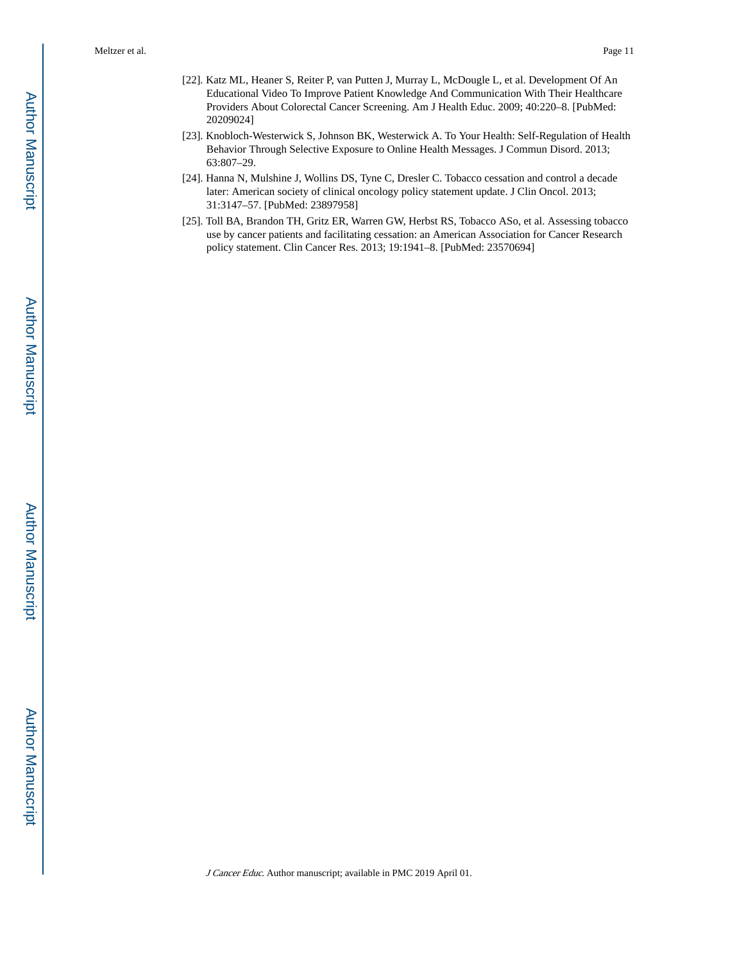- [22]. Katz ML, Heaner S, Reiter P, van Putten J, Murray L, McDougle L, et al. Development Of An Educational Video To Improve Patient Knowledge And Communication With Their Healthcare Providers About Colorectal Cancer Screening. Am J Health Educ. 2009; 40:220–8. [PubMed: 20209024]
- [23]. Knobloch-Westerwick S, Johnson BK, Westerwick A. To Your Health: Self-Regulation of Health Behavior Through Selective Exposure to Online Health Messages. J Commun Disord. 2013; 63:807–29.
- [24]. Hanna N, Mulshine J, Wollins DS, Tyne C, Dresler C. Tobacco cessation and control a decade later: American society of clinical oncology policy statement update. J Clin Oncol. 2013; 31:3147–57. [PubMed: 23897958]
- [25]. Toll BA, Brandon TH, Gritz ER, Warren GW, Herbst RS, Tobacco ASo, et al. Assessing tobacco use by cancer patients and facilitating cessation: an American Association for Cancer Research policy statement. Clin Cancer Res. 2013; 19:1941–8. [PubMed: 23570694]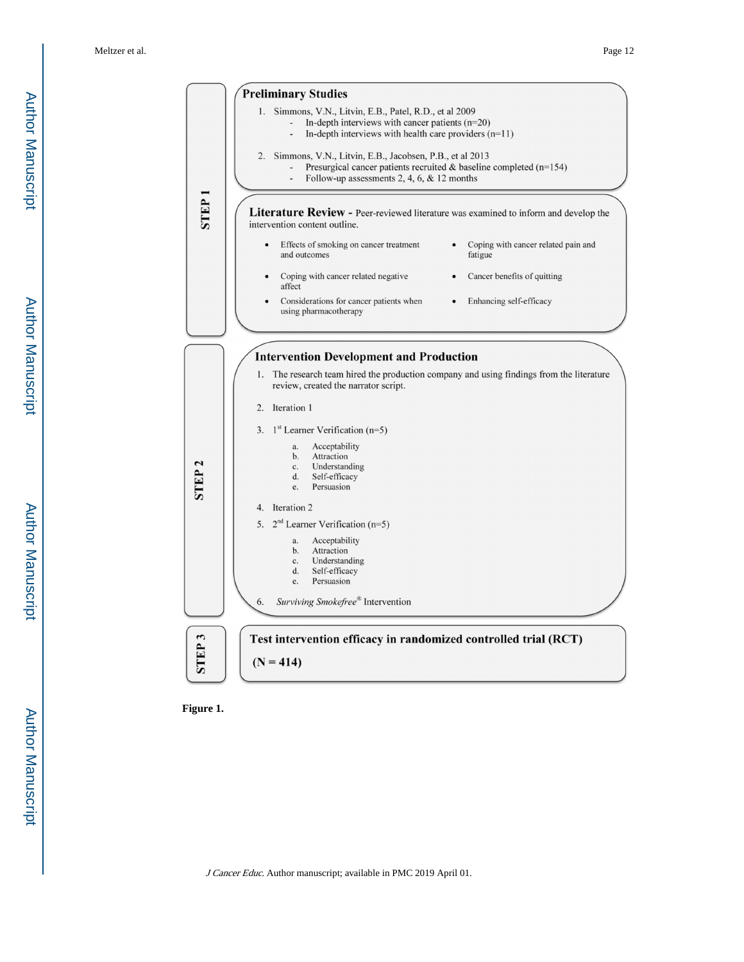